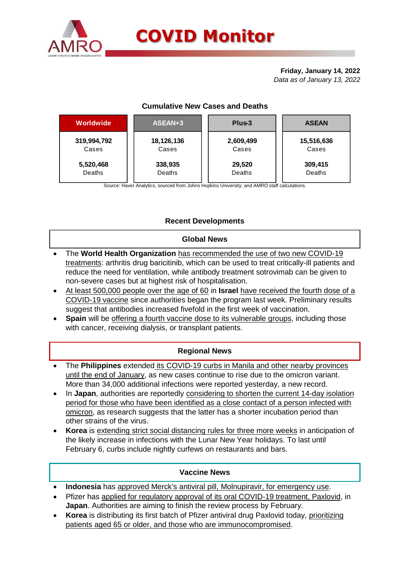

## **Friday, January 14, 2022** *Data as of January 13, 2022*

## **Cumulative New Cases and Deaths**

| <b>Worldwide</b> | ASEAN+3    | Plus-3    | <b>ASEAN</b> |  |  |
|------------------|------------|-----------|--------------|--|--|
| 319,994,792      | 18,126,136 | 2,609,499 | 15,516,636   |  |  |
| Cases            | Cases      | Cases     | Cases        |  |  |
| 5,520,468        | 338,935    | 29,520    | 309,415      |  |  |
| Deaths           | Deaths     | Deaths    | Deaths       |  |  |

Source: Haver Analytics, sourced from Johns Hopkins University; and AMRO staff calculations.

# **Recent Developments**

### **Global News**

- The **World Health Organization** has recommended the use of two new COVID-19 treatments: arthritis drug baricitinib, which can be used to treat critically-ill patients and reduce the need for ventilation, while antibody treatment sotrovimab can be given to non-severe cases but at highest risk of hospitalisation.
- At least 500,000 people over the age of 60 in **Israel** have received the fourth dose of a COVID-19 vaccine since authorities began the program last week. Preliminary results suggest that antibodies increased fivefold in the first week of vaccination.
- **Spain** will be offering a fourth vaccine dose to its vulnerable groups, including those with cancer, receiving dialysis, or transplant patients.

## **Regional News**

- The **Philippines** extended its COVID-19 curbs in Manila and other nearby provinces until the end of January, as new cases continue to rise due to the omicron variant. More than 34,000 additional infections were reported yesterday, a new record.
- In Japan, authorities are reportedly considering to shorten the current 14-day isolation period for those who have been identified as a close contact of a person infected with omicron, as research suggests that the latter has a shorter incubation period than other strains of the virus.
- **Korea** is extending strict social distancing rules for three more weeks in anticipation of the likely increase in infections with the Lunar New Year holidays. To last until February 6, curbs include nightly curfews on restaurants and bars.

## **Vaccine News**

- **Indonesia** has approved Merck's antiviral pill, Molnupiravir, for emergency use.
- Pfizer has applied for regulatory approval of its oral COVID-19 treatment, Paxlovid, in **Japan**. Authorities are aiming to finish the review process by February.
- **Korea** is distributing its first batch of Pfizer antiviral drug Paxlovid today, prioritizing patients aged 65 or older, and those who are immunocompromised.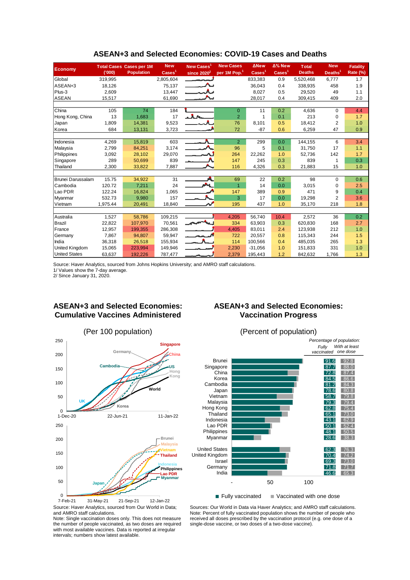|                      |          | <b>Total Cases Cases per 1M</b> | <b>New</b>               | New Cases <sup>1</sup>    | <b>New Cases</b>         | <b>ANew</b>              | $\Delta\%$ New              | <b>Total</b>  | <b>New</b>          | <b>Fatality</b> |
|----------------------|----------|---------------------------------|--------------------------|---------------------------|--------------------------|--------------------------|-----------------------------|---------------|---------------------|-----------------|
| <b>Economy</b>       | (000)    | <b>Population</b>               | $\text{Case} \text{s}^1$ | since $2020^2$            | per 1M Pop. <sup>1</sup> | $\text{Case} \text{s}^1$ | $\overline{\text{Cases}}^1$ | <b>Deaths</b> | Deaths <sup>1</sup> | Rate (%)        |
| Global               | 319,995  |                                 | 2,805,604                |                           |                          | 833,383                  | 0.9                         | 5,520,468     | 6,777               | 1.7             |
| ASEAN+3              | 18,126   |                                 | 75,137                   |                           |                          | 36,043                   | 0.4                         | 338,935       | 458                 | 1.9             |
| Plus-3               | 2,609    |                                 | 13,447                   |                           |                          | 8,027                    | 0.5                         | 29,520        | 49                  | 1.1             |
| <b>ASEAN</b>         | 15,517   |                                 | 61,690                   |                           |                          | 28,017                   | 0.4                         | 309,415       | 409                 | 2.0             |
|                      |          |                                 |                          |                           |                          |                          |                             |               |                     |                 |
| China                | 105      | 74                              | 184                      |                           | $\mathbf{0}$             | 11                       | 0.2                         | 4,636         | $\Omega$            | 4.4             |
| Hong Kong, China     | 13       | 1,683                           | 17                       | $\mathbf{A}$ $\mathbf{A}$ | $\overline{2}$           |                          | 0.1                         | 213           | $\Omega$            | 1.7             |
| Japan                | 1,809    | 14,381                          | 9,523                    |                           | 76                       | 8,101                    | 0.5                         | 18,412        | $\overline{2}$      | 1.0             |
| Korea                | 684      | 13,131                          | 3,723                    |                           | 72                       | $-87$                    | 0.6                         | 6,259         | 47                  | 0.9             |
|                      |          |                                 |                          |                           |                          |                          |                             |               |                     |                 |
| Indonesia            | 4,269    | 15,819                          | 603                      |                           | $\overline{2}$           | 299                      | 0.0                         | 144,155       | 6                   | 3.4             |
| Malaysia             | 2.799    | 84,251                          | 3.174                    | $\boldsymbol{\lambda}$    | 96                       | 5                        | 0.1                         | 31.750        | 17                  | 1.1             |
| Philippines          | 3,092    | 28,102                          | 29,070                   |                           | 264                      | 22,262                   | 1.0                         | 52,736        | 142                 | 1.7             |
| Singapore            | 289      | 50,699                          | 839                      |                           | 147                      | 245                      | 0.3                         | 839           | 1                   | 0.3             |
| Thailand             | 2,300    | 33,822                          | 7,887                    |                           | 116                      | 4,326                    | 0.3                         | 21,883        | 15                  | 1.0             |
|                      |          |                                 |                          |                           |                          |                          |                             |               |                     |                 |
| Brunei Darussalam    | 15.75    | 34,922                          | 31                       | A                         | 69                       | 22                       | 0.2                         | 98            | $\Omega$            | 0.6             |
| Cambodia             | 120.72   | 7,211                           | 24                       | <b>AAL</b>                | $\mathbf{1}$             | 14                       | 0.0                         | 3,015         | 0                   | 2.5             |
| Lao PDR              | 122.24   | 16,824                          | 1,065                    |                           | 147                      | 389                      | 0.9                         | 471           | 9                   | 0.4             |
| Myanmar              | 532.73   | 9,980                           | 157                      |                           | 3                        | 17                       | 0.0                         | 19,298        | $\overline{2}$      | 3.6             |
| Vietnam              | 1,975.44 | 20,491                          | 18,840                   |                           | 195                      | 437                      | 1.0                         | 35,170        | 218                 | 1.8             |
|                      |          |                                 |                          |                           |                          |                          |                             |               |                     |                 |
| Australia            | 1.527    | 58.786                          | 109,215                  |                           | 4,205                    | 56.740                   | 10.4                        | 2,572         | 36                  | 0.2             |
| <b>Brazil</b>        | 22,822   | 107,970                         | 70,561                   |                           | 334                      | 63,903                   | 0.3                         | 620,830       | 168                 | 2.7             |
| France               | 12,957   | 199,355                         | 286,308                  |                           | 4,405                    | 83,011                   | 2.4                         | 123,938       | 212                 | 1.0             |
| Germany              | 7,867    | 94,807                          | 59,947                   | لممت                      | 722                      | 20,557                   | 0.8                         | 115.343       | 244                 | 1.5             |
| India                | 36,318   | 26,518                          | 155,934                  |                           | 114                      | 100,566                  | 0.4                         | 485,035       | 265                 | 1.3             |
| United Kingdom       | 15,065   | 223,994                         | 149,946                  |                           | 2,230                    | $-31,056$                | 1.0                         | 151,833       | 331                 | 1.0             |
| <b>United States</b> | 63,637   | 192.226                         | 787.477                  |                           | 2,379                    | 195,443                  | 1.2                         | 842,632       | 1,766               | 1.3             |

#### **ASEAN+3 and Selected Economies: COVID-19 Cases and Deaths**

Source: Haver Analytics, sourced from Johns Hopkins University; and AMRO staff calculations.

1/ Values show the 7-day average. 2/ Since January 31, 2020.

# **ASEAN+3 and Selected Economies: Cumulative Vaccines Administered**





Note: Single vaccination doses only. This does not measure the number of people vaccinated, as two doses are required with most available vaccines. Data is reported at irregular intervals; numbers show latest available.

# **ASEAN+3 and Selected Economies: Vaccination Progress**



Sources: Our World in Data via Haver Analytics; and AMRO staff calculations. Note: Percent of fully vaccinated population shows the number of people who received all doses prescribed by the vaccination protocol (e.g. one dose of a single-dose vaccine, or two doses of a two-dose vaccine).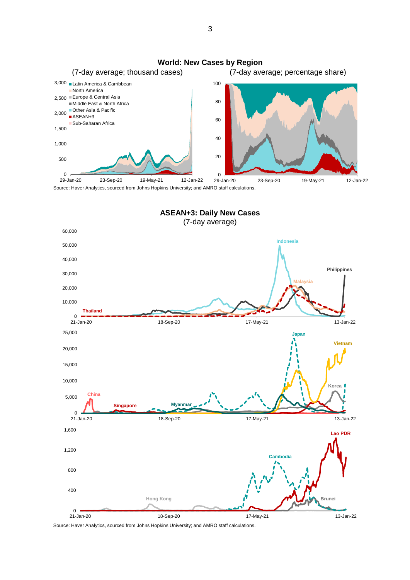

Source: Haver Analytics, sourced from Johns Hopkins University; and AMRO staff calculations.



Source: Haver Analytics, sourced from Johns Hopkins University; and AMRO staff calculations.